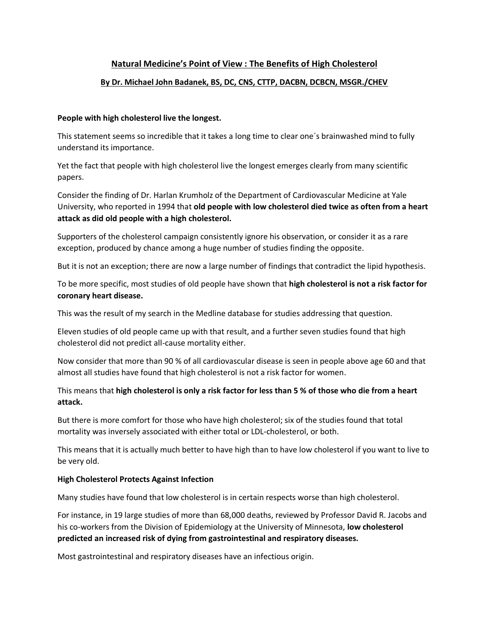# **Natural Medicine's Point of View : The Benefits of High Cholesterol**

### **By Dr. Michael John Badanek, BS, DC, CNS, CTTP, DACBN, DCBCN, MSGR./CHEV**

#### **People with high cholesterol live the longest.**

This statement seems so incredible that it takes a long time to clear one´s brainwashed mind to fully understand its importance.

Yet the fact that people with high cholesterol live the longest emerges clearly from many scientific papers.

Consider the finding of Dr. Harlan Krumholz of the Department of Cardiovascular Medicine at Yale University, who reported in 1994 that **old people with low cholesterol died twice as often from a heart attack as did old people with a high cholesterol.**

Supporters of the cholesterol campaign consistently ignore his observation, or consider it as a rare exception, produced by chance among a huge number of studies finding the opposite.

But it is not an exception; there are now a large number of findings that contradict the lipid hypothesis.

To be more specific, most studies of old people have shown that **high cholesterol is not a risk factor for coronary heart disease.**

This was the result of my search in the Medline database for studies addressing that question.

Eleven studies of old people came up with that result, and a further seven studies found that high cholesterol did not predict all-cause mortality either.

Now consider that more than 90 % of all cardiovascular disease is seen in people above age 60 and that almost all studies have found that high cholesterol is not a risk factor for women.

# This means that **high cholesterol is only a risk factor for less than 5 % of those who die from a heart attack.**

But there is more comfort for those who have high cholesterol; six of the studies found that total mortality was inversely associated with either total or LDL-cholesterol, or both.

This means that it is actually much better to have high than to have low cholesterol if you want to live to be very old.

### **High Cholesterol Protects Against Infection**

Many studies have found that low cholesterol is in certain respects worse than high cholesterol.

For instance, in 19 large studies of more than 68,000 deaths, reviewed by Professor David R. Jacobs and his co-workers from the Division of Epidemiology at the University of Minnesota, **low cholesterol predicted an increased risk of dying from gastrointestinal and respiratory diseases.**

Most gastrointestinal and respiratory diseases have an infectious origin.